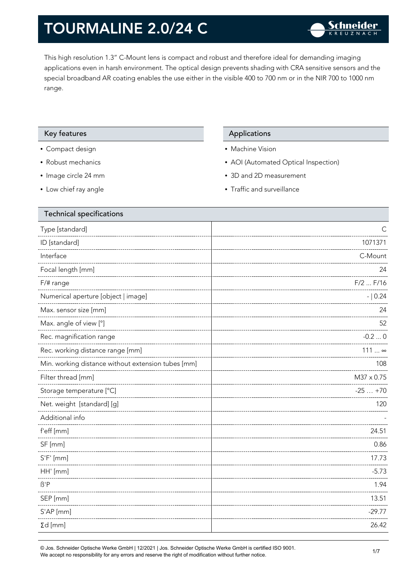This high resolution 1.3" C-Mount lens is compact and robust and therefore ideal for demanding imaging applications even in harsh environment. The optical design prevents shading with CRA sensitive sensors and the special broadband AR coating enables the use either in the visible 400 to 700 nm or in the NIR 700 to 1000 nm range.

### Key features **Applications** Applications

- Compact design
- Robust mechanics
- Image circle 24 mm
- Low chief ray angle

- Machine Vision
- AOI (Automated Optical Inspection)
- 3D and 2D measurement
- Traffic and surveillance

| <b>Technical specifications</b>                    |              |
|----------------------------------------------------|--------------|
| Type [standard]                                    | C            |
| ID [standard]                                      | 1071371      |
| Interface                                          | C-Mount      |
| Focal length [mm]                                  | 24           |
| F/# range                                          | $F/2$ $F/16$ |
| Numerical aperture [object   image]                | $- 0.24$     |
| Max. sensor size [mm]                              | 24           |
| Max. angle of view [°]                             | 52           |
| Rec. magnification range                           | $-0.20$      |
| Rec. working distance range [mm]                   | 111  ∞       |
| Min. working distance without extension tubes [mm] | 108          |
| Filter thread [mm]                                 | M37 x 0.75   |
| Storage temperature [°C]                           | $-25+70$     |
| Net. weight [standard] [g]                         | 120          |
| Additional info                                    |              |
| f'eff [mm]                                         | 24.51        |
| SF [mm]                                            | 0.86         |
| $S'F'$ [mm]                                        | 17.73        |
| HH' [mm]                                           | $-5.73$      |
| $\beta$ 'P                                         | 1.94         |
| SEP [mm]                                           | 13.51        |
| S'AP [mm]                                          | $-29.77$     |
| $\Sigma d$ [mm]                                    | 26.42        |
|                                                    |              |

© Jos. Schneider Optische Werke GmbH | 12/2021 | Jos. Schneider Optische Werke GmbH is certified ISO 9001. We accept no responsibility for any errors and reserve the right of modification without further notice.<br>We accept no responsibility for any errors and reserve the right of modification without further notice.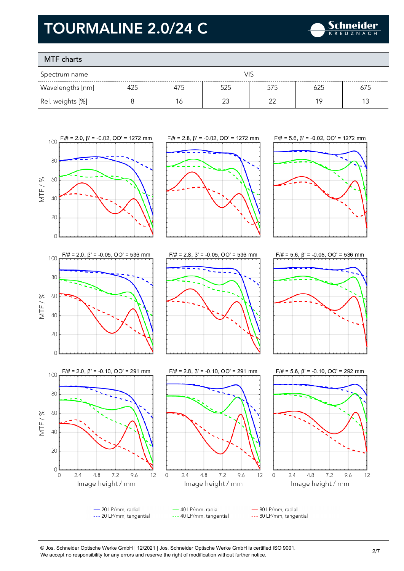

### MTF charts

| Spectrum name    | VIS |     |     |     |     |     |
|------------------|-----|-----|-----|-----|-----|-----|
| Wavelengths [nm] | 425 | 4/5 | 525 | 575 |     | 675 |
| Rel. weights [%] |     | Ó   |     |     | 1 C |     |









60

40

20

 $\circ$ 

 $\overline{0}$ 

 $2.4$ 

 $4.8$ 

 $7.2$ 

Image height / mm

9.6

MTF/%



 $F/\# = 2.8$ ,  $\beta' = -0.10$ ,  $OO' = 291$  mm





- 20 LP/mm, radial 40 LP/mm, radial - 80 LP/mm, radial --- 20 LP/mm, tangential --- 40 LP/mm, tangential --- 80 LP/mm, tangential

 $4.8$ 

 $7.2$ 

Image height / mm

9.6

 $12$ 

 $2.4$ 

 $\mathbf 0$ 

 $12$ 

<sup>©</sup> Jos. Schneider Optische Werke GmbH | 12/2021 | Jos. Schneider Optische Werke GmbH is certified ISO 9001. We accept no responsibility for any errors and reserve the right of modification without further notice.<br>We accept no responsibility for any errors and reserve the right of modification without further notice.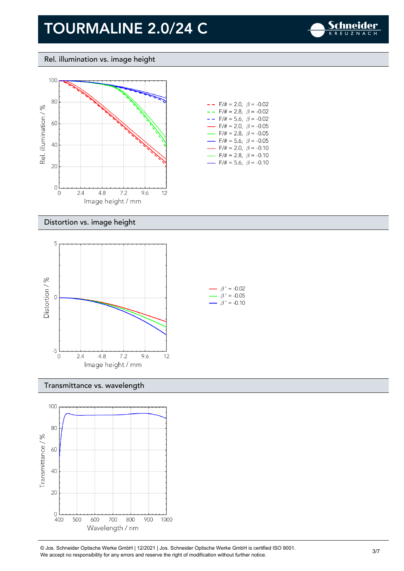

Rel. illumination vs. image height



| - -                      | $F/\ddot{\pi} = 2.0, \ \beta = -0.02$   |
|--------------------------|-----------------------------------------|
| $- -$                    | $F/\ddot{\pi} = 2.8, \ \beta = -0.02$   |
| - -                      | $F/\ddot{=} = 5.6, \ \beta = -0.02$     |
| $\overline{\phantom{0}}$ | $F/\ddot{\pi} = 2.0, \ \beta = -0.05$   |
| $\overline{\phantom{0}}$ | $F/\ddot{\pi} = 2.8, \ \beta = -0.05$   |
| $\overline{\phantom{0}}$ | $F/\ddot{=} = 5.6, \ \beta = -0.05$     |
|                          | $F/\ddot{\pi} = 2.0, \ \ \beta = -0.10$ |
|                          | $F/\ddot{\pi} = 2.8, \ \beta = -0.10$   |
|                          | $F/\ddot{\pi} = 5.6$ , $\beta = -0.10$  |

#### Distortion vs. image height



#### Transmittance vs. wavelength



© Jos. Schneider Optische Werke GmbH | 12/2021 | Jos. Schneider Optische Werke GmbH is certified ISO 9001. We accept no responsibility for any errors and reserve the right of modification without further notice.<br>We accept no responsibility for any errors and reserve the right of modification without further notice.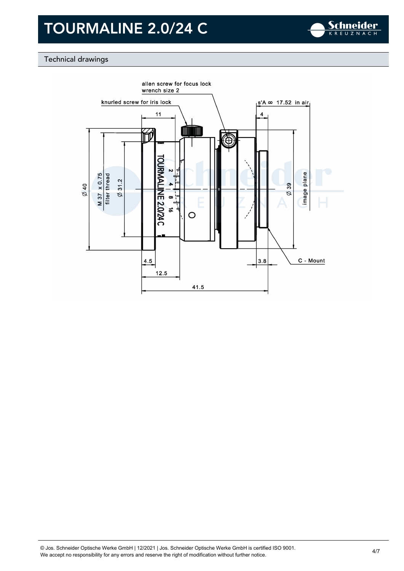

### Technical drawings

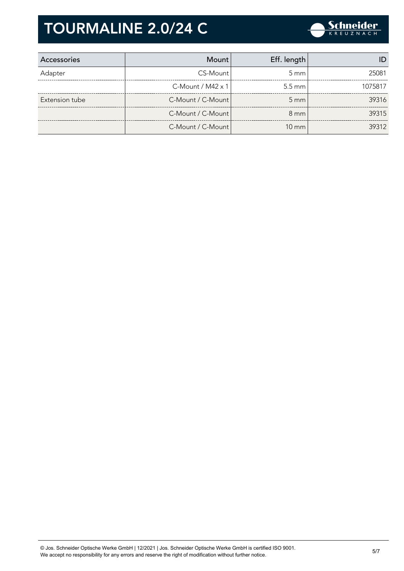

| Accessories    | Mount                    | Eff. length      |         |
|----------------|--------------------------|------------------|---------|
| Adapter        | CS-Mount                 | $5 \text{ mm}$   | 25081   |
|                | C-Mount / $M42 \times 1$ | $5.5 \text{ mm}$ | 1075817 |
| Extension tube | C-Mount / C-Mount        | $5 \, \text{mm}$ | 39316   |
|                | C-Mount / C-Mount        | $8 \text{ mm}$   | 39315   |
|                | C-Mount / C-Mount        | $10 \text{ mm}$  | 39312   |